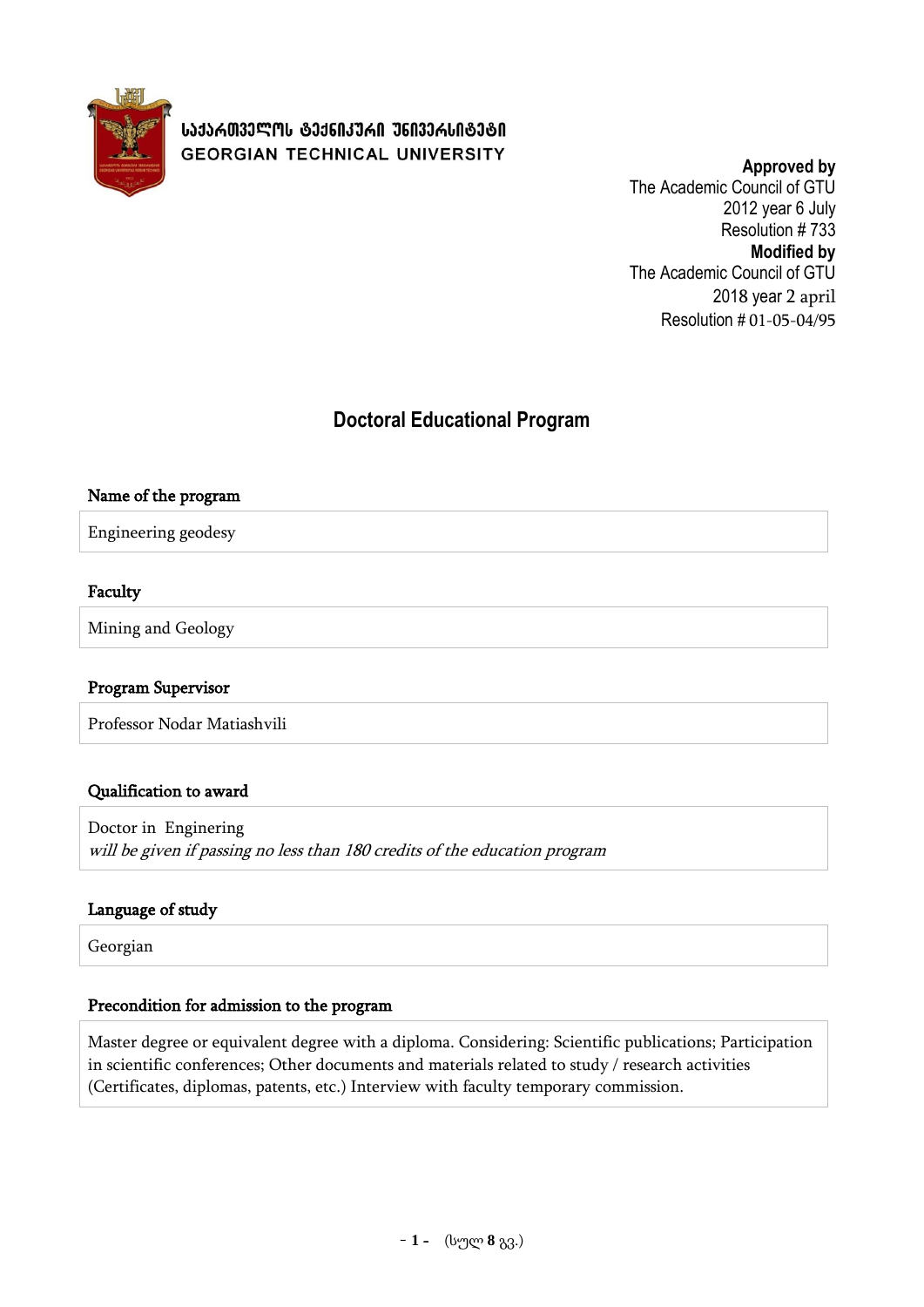

**Approved by** The Academic Council of GTU 2012 year 6 July Resolution # 733 **Modified by** The Academic Council of GTU 2018 year 2 april Resolution # 01-05-04/95

# **Doctoral Educational Program**

### Name of the program

Engineering geodesy

### Faculty

Mining and Geology

#### Program Supervisor

Professor Nodar Matiashvili

#### Qualification to award

Doctor in Enginering will be given if passing no less than 180 credits of the education program

#### Language of study

Georgian

#### Precondition for admission to the program

Master degree or equivalent degree with a diploma. Considering: Scientific publications; Participation in scientific conferences; Other documents and materials related to study / research activities (Certificates, diplomas, patents, etc.) Interview with faculty temporary commission.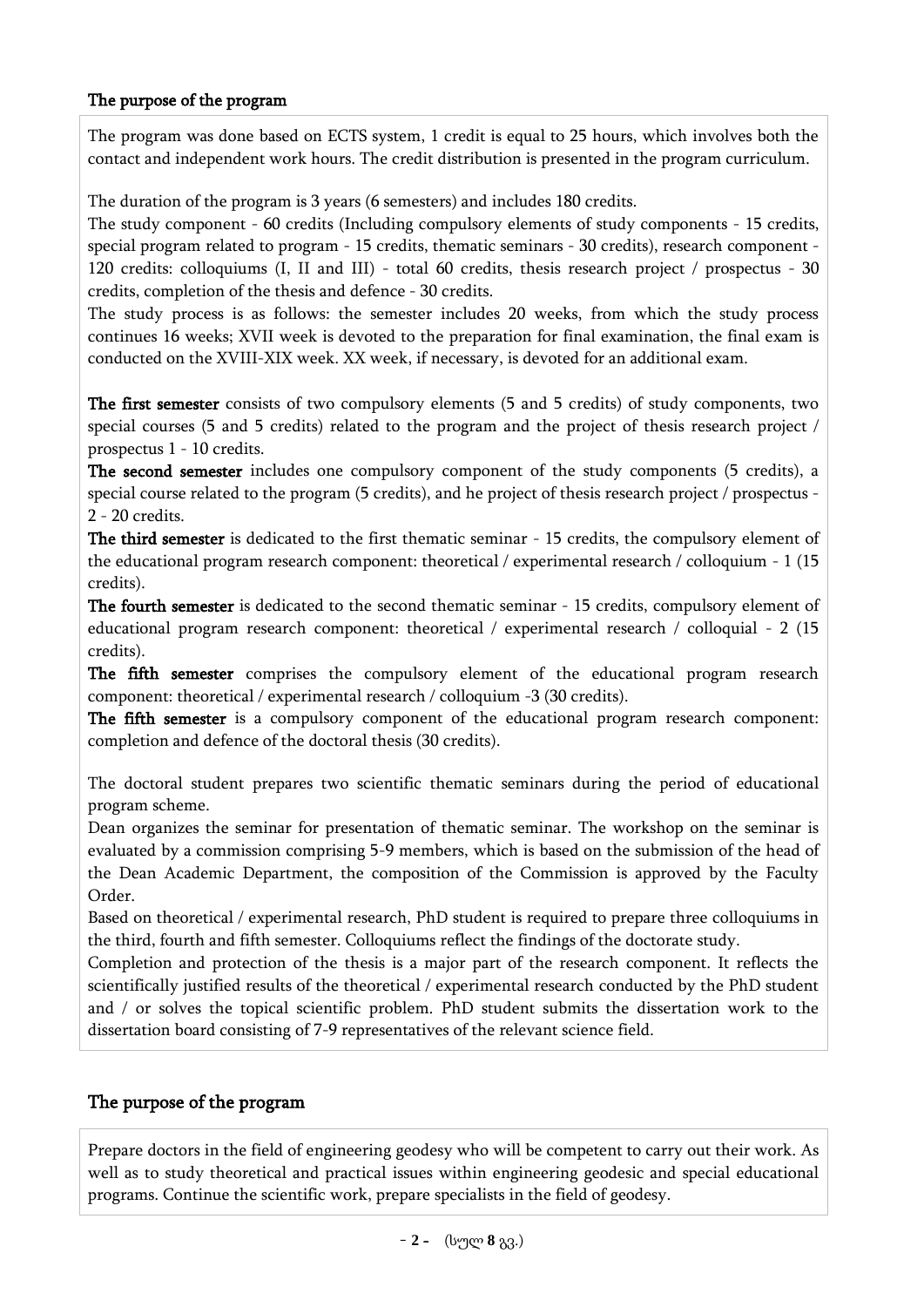## The purpose of the program

The program was done based on ECTS system, 1 credit is equal to 25 hours, which involves both the contact and independent work hours. The credit distribution is presented in the program curriculum.

The duration of the program is 3 years (6 semesters) and includes 180 credits.

The study component - 60 credits (Including compulsory elements of study components - 15 credits, special program related to program - 15 credits, thematic seminars - 30 credits), research component - 120 credits: colloquiums (I, II and III) - total 60 credits, thesis research project / prospectus - 30 credits, completion of the thesis and defence - 30 credits.

The study process is as follows: the semester includes 20 weeks, from which the study process continues 16 weeks; XVII week is devoted to the preparation for final examination, the final exam is conducted on the XVIII-XIX week. XX week, if necessary, is devoted for an additional exam.

The first semester consists of two compulsory elements (5 and 5 credits) of study components, two special courses (5 and 5 credits) related to the program and the project of thesis research project / prospectus 1 - 10 credits.

The second semester includes one compulsory component of the study components (5 credits), a special course related to the program (5 credits), and he project of thesis research project / prospectus - 2 - 20 credits.

The third semester is dedicated to the first thematic seminar - 15 credits, the compulsory element of the educational program research component: theoretical / experimental research / colloquium - 1 (15 credits).

The fourth semester is dedicated to the second thematic seminar - 15 credits, compulsory element of educational program research component: theoretical / experimental research / colloquial - 2 (15 credits).

The fifth semester comprises the compulsory element of the educational program research component: theoretical / experimental research / colloquium -3 (30 credits).

The fifth semester is a compulsory component of the educational program research component: completion and defence of the doctoral thesis (30 credits).

The doctoral student prepares two scientific thematic seminars during the period of educational program scheme.

Dean organizes the seminar for presentation of thematic seminar. The workshop on the seminar is evaluated by a commission comprising 5-9 members, which is based on the submission of the head of the Dean Academic Department, the composition of the Commission is approved by the Faculty Order.

Based on theoretical / experimental research, PhD student is required to prepare three colloquiums in the third, fourth and fifth semester. Colloquiums reflect the findings of the doctorate study.

Completion and protection of the thesis is a major part of the research component. It reflects the scientifically justified results of the theoretical / experimental research conducted by the PhD student and / or solves the topical scientific problem. PhD student submits the dissertation work to the dissertation board consisting of 7-9 representatives of the relevant science field.

## The purpose of the program

Prepare doctors in the field of engineering geodesy who will be competent to carry out their work. As well as to study theoretical and practical issues within engineering geodesic and special educational programs. Continue the scientific work, prepare specialists in the field of geodesy.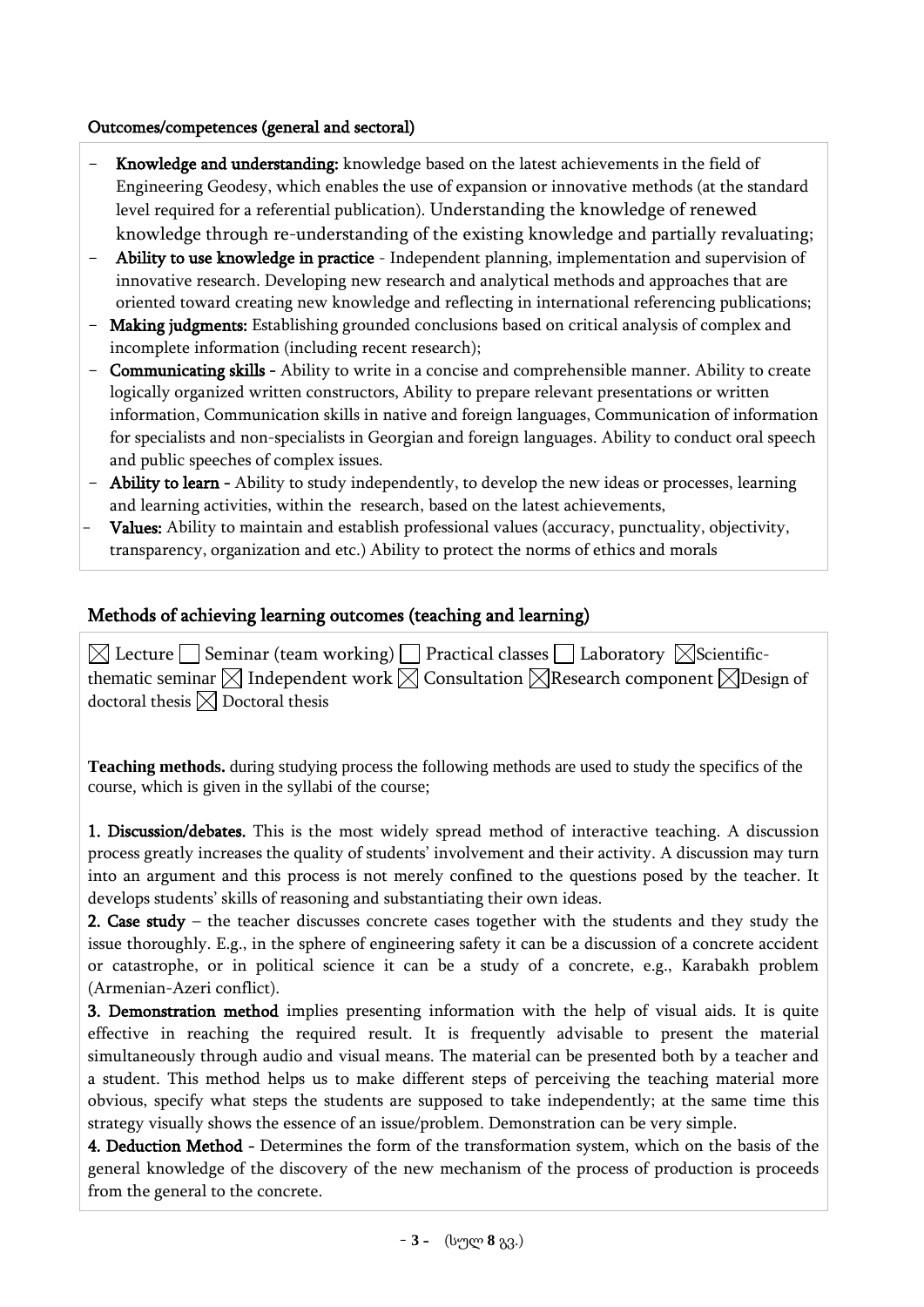## Outcomes/competences (general and sectoral)

- Knowledge and understanding: knowledge based on the latest achievements in the field of Engineering Geodesy, which enables the use of expansion or innovative methods (at the standard level required for a referential publication). Understanding the knowledge of renewed knowledge through re-understanding of the existing knowledge and partially revaluating;
- Ability to use knowledge in practice Independent planning, implementation and supervision of innovative research. Developing new research and analytical methods and approaches that are oriented toward creating new knowledge and reflecting in international referencing publications;
- Making judgments: Establishing grounded conclusions based on critical analysis of complex and incomplete information (including recent research);
- Communicating skills Ability to write in a concise and comprehensible manner. Ability to create logically organized written constructors, Ability to prepare relevant presentations or written information, Communication skills in native and foreign languages, Communication of information for specialists and non-specialists in Georgian and foreign languages. Ability to conduct oral speech and public speeches of complex issues.
- **Ability to learn** Ability to study independently, to develop the new ideas or processes, learning and learning activities, within the research, based on the latest achievements,
- Values: Ability to maintain and establish professional values (accuracy, punctuality, objectivity, transparency, organization and etc.) Ability to protect the norms of ethics and morals

## Methods of achieving learning outcomes (teaching and learning)

 $\boxtimes$  Lecture  $\Box$  Seminar (team working)  $\Box$  Practical classes  $\Box$  Laboratory  $\boxtimes$ Scientificthematic seminar  $\boxtimes$  Independent work  $\boxtimes$  Consultation  $\boxtimes$  Research component  $\boxtimes$  Design of doctoral thesis  $\boxtimes$  Doctoral thesis

**Teaching methods.** during studying process the following methods are used to study the specifics of the course, which is given in the syllabi of the course;

1. Discussion/debates. This is the most widely spread method of interactive teaching. A discussion process greatly increases the quality of students' involvement and their activity. A discussion may turn into an argument and this process is not merely confined to the questions posed by the teacher. It develops students' skills of reasoning and substantiating their own ideas.

2. Case study – the teacher discusses concrete cases together with the students and they study the issue thoroughly. E.g., in the sphere of engineering safety it can be a discussion of a concrete accident or catastrophe, or in political science it can be a study of a concrete, e.g., Karabakh problem (Armenian-Azeri conflict).

3. Demonstration method implies presenting information with the help of visual aids. It is quite effective in reaching the required result. It is frequently advisable to present the material simultaneously through audio and visual means. The material can be presented both by a teacher and a student. This method helps us to make different steps of perceiving the teaching material more obvious, specify what steps the students are supposed to take independently; at the same time this strategy visually shows the essence of an issue/problem. Demonstration can be very simple.

4. Deduction Method - Determines the form of the transformation system, which on the basis of the general knowledge of the discovery of the new mechanism of the process of production is proceeds from the general to the concrete.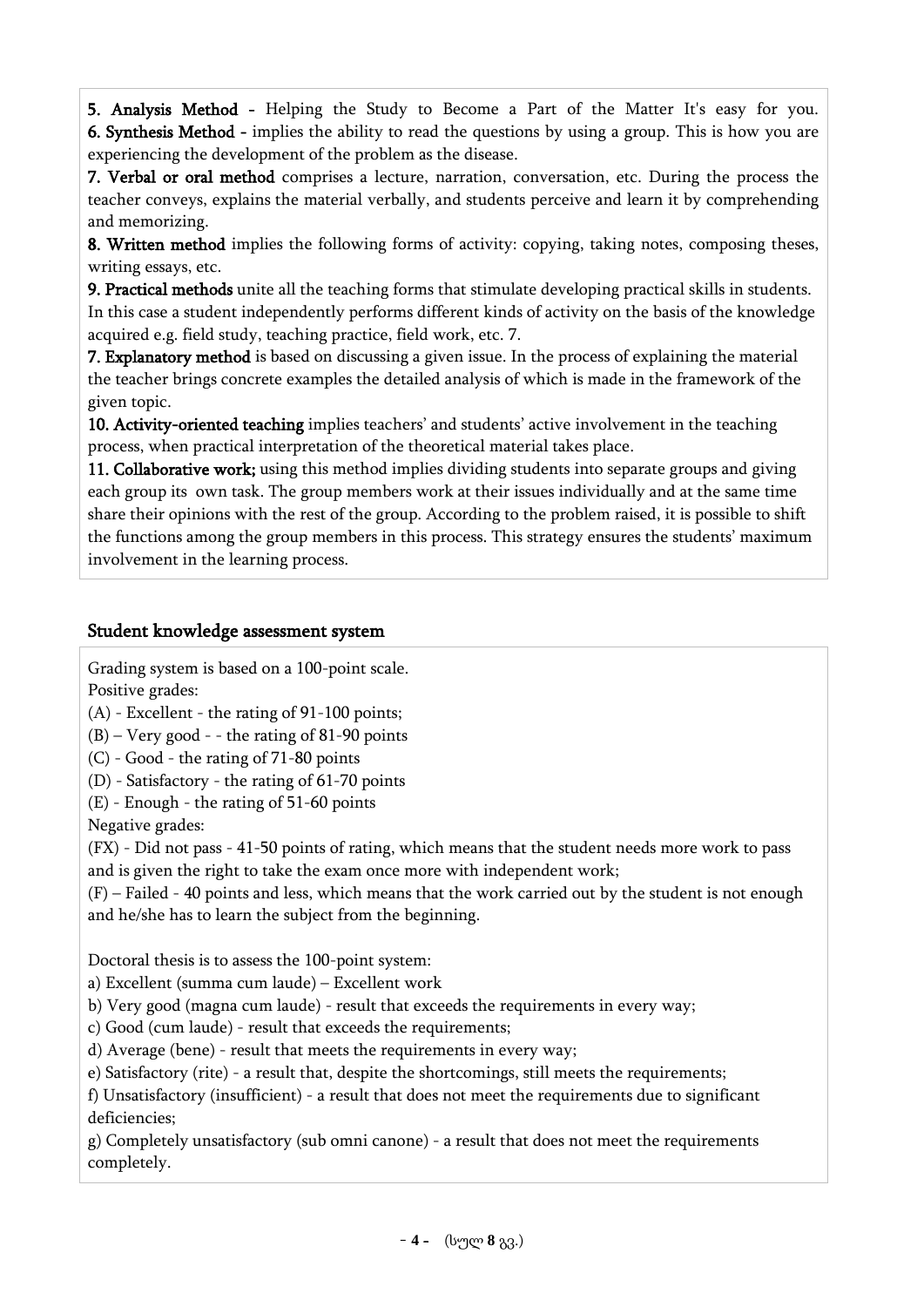5. Analysis Method - Helping the Study to Become a Part of the Matter It's easy for you. 6. Synthesis Method - implies the ability to read the questions by using a group. This is how you are experiencing the development of the problem as the disease.

7. Verbal or oral method comprises a lecture, narration, conversation, etc. During the process the teacher conveys, explains the material verbally, and students perceive and learn it by comprehending and memorizing.

8. Written method implies the following forms of activity: copying, taking notes, composing theses, writing essays, etc.

9. Practical methods unite all the teaching forms that stimulate developing practical skills in students. In this case a student independently performs different kinds of activity on the basis of the knowledge acquired e.g. field study, teaching practice, field work, etc. 7.

7. Explanatory method is based on discussing a given issue. In the process of explaining the material the teacher brings concrete examples the detailed analysis of which is made in the framework of the given topic.

10. Activity-oriented teaching implies teachers' and students' active involvement in the teaching process, when practical interpretation of the theoretical material takes place.

11. Collaborative work; using this method implies dividing students into separate groups and giving each group its own task. The group members work at their issues individually and at the same time share their opinions with the rest of the group. According to the problem raised, it is possible to shift the functions among the group members in this process. This strategy ensures the students' maximum involvement in the learning process.

## Student knowledge assessment system

Grading system is based on a 100-point scale. Positive grades:

 $(A)$  - Excellent - the rating of 91-100 points;

 $(B)$  – Very good - - the rating of 81-90 points

(C) - Good - the rating of 71-80 points

(D) - Satisfactory - the rating of 61-70 points

(E) - Enough - the rating of 51-60 points

Negative grades:

(FX) - Did not pass - 41-50 points of rating, which means that the student needs more work to pass and is given the right to take the exam once more with independent work;

(F) – Failed - 40 points and less, which means that the work carried out by the student is not enough and he/she has to learn the subject from the beginning.

Doctoral thesis is to assess the 100-point system:

a) Excellent (summa cum laude) – Excellent work

b) Very good (magna cum laude) - result that exceeds the requirements in every way;

c) Good (cum laude) - result that exceeds the requirements;

d) Average (bene) - result that meets the requirements in every way;

e) Satisfactory (rite) - a result that, despite the shortcomings, still meets the requirements;

f) Unsatisfactory (insufficient) - a result that does not meet the requirements due to significant deficiencies;

g) Completely unsatisfactory (sub omni canone) - a result that does not meet the requirements completely.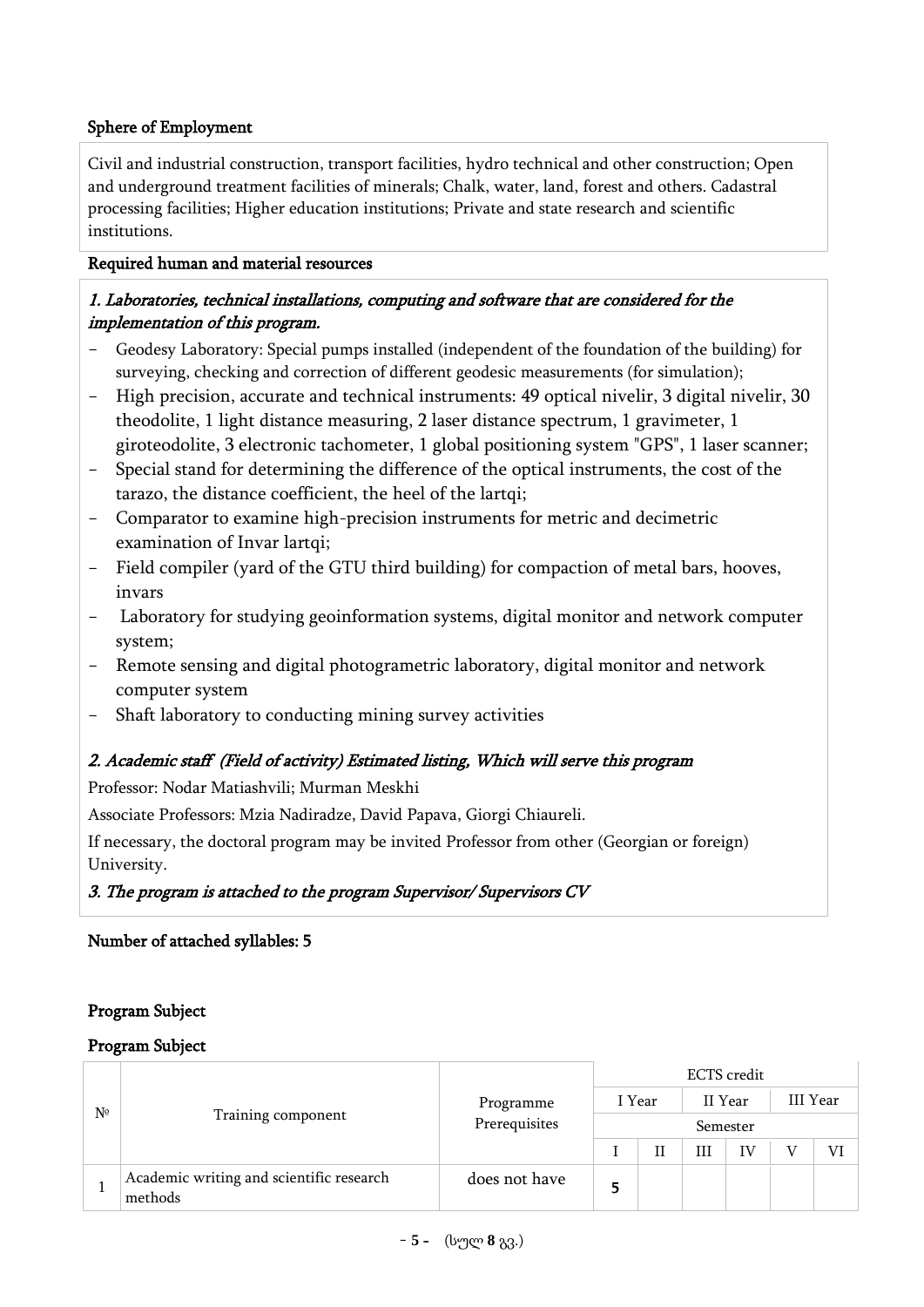## Sphere of Employment

Civil and industrial construction, transport facilities, hydro technical and other construction; Open and underground treatment facilities of minerals; Chalk, water, land, forest and others. Cadastral processing facilities; Higher education institutions; Private and state research and scientific institutions.

#### Required human and material resources

## 1. Laboratories, technical installations, computing and software that are considered for the implementation of this program.

- Geodesy Laboratory: Special pumps installed (independent of the foundation of the building) for surveying, checking and correction of different geodesic measurements (for simulation);
- High precision, accurate and technical instruments: 49 optical nivelir, 3 digital nivelir, 30 theodolite, 1 light distance measuring, 2 laser distance spectrum, 1 gravimeter, 1 giroteodolite, 3 electronic tachometer, 1 global positioning system "GPS", 1 laser scanner;
- Special stand for determining the difference of the optical instruments, the cost of the tarazo, the distance coefficient, the heel of the lartqi;
- Comparator to examine high-precision instruments for metric and decimetric examination of Invar lartqi;
- Field compiler (yard of the GTU third building) for compaction of metal bars, hooves, invars
- Laboratory for studying geoinformation systems, digital monitor and network computer system;
- Remote sensing and digital photogrametric laboratory, digital monitor and network computer system
- Shaft laboratory to conducting mining survey activities

## 2. Academic staff (Field of activity) Estimated listing, Which will serve this program

Professor: Nodar Matiashvili; Murman Meskhi

Associate Professors: Mzia Nadiradze, David Papava, Giorgi Chiaureli.

If necessary, the doctoral program may be invited Professor from other (Georgian or foreign) University.

## 3. The program is attached to the program Supervisor/ Supervisors CV

## Number of attached syllables: 5

## Program Subject

#### Program Subject

| Nº |                                                     | Programme<br>Prerequisites | <b>ECTS</b> credit |  |         |    |          |  |  |  |
|----|-----------------------------------------------------|----------------------------|--------------------|--|---------|----|----------|--|--|--|
|    |                                                     |                            | I Year             |  | II Year |    | III Year |  |  |  |
|    | Training component                                  |                            | Semester           |  |         |    |          |  |  |  |
|    |                                                     |                            |                    |  | Ш       | IV |          |  |  |  |
|    | Academic writing and scientific research<br>methods | does not have              | 5                  |  |         |    |          |  |  |  |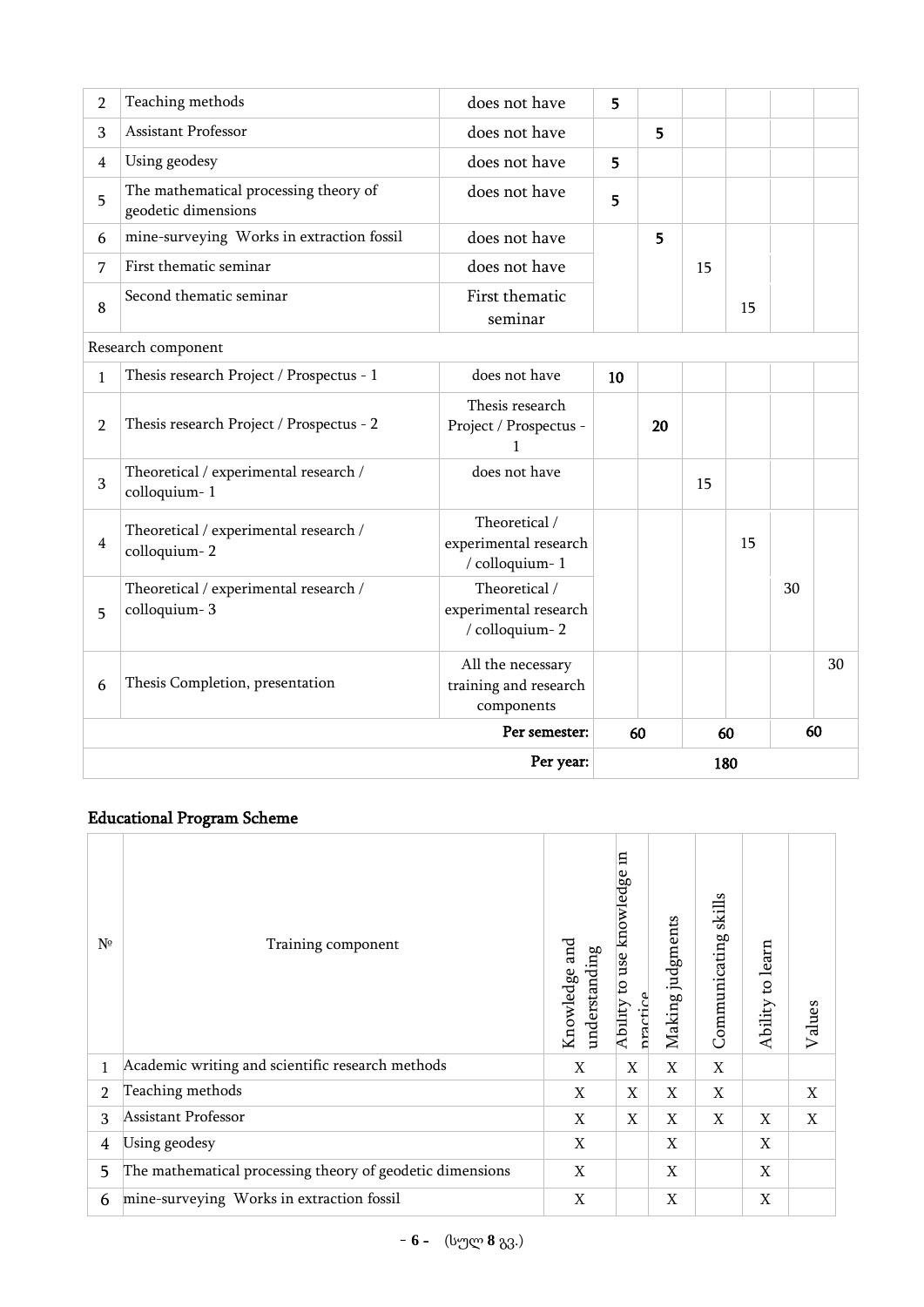|                | Per year:                                                    |                                                          |    |          |    | 180 |    |    |
|----------------|--------------------------------------------------------------|----------------------------------------------------------|----|----------|----|-----|----|----|
|                | Per semester:                                                |                                                          |    | 60<br>60 |    |     | 60 |    |
| 6              | Thesis Completion, presentation                              | All the necessary<br>training and research<br>components |    |          |    |     |    | 30 |
| 5              | Theoretical / experimental research /<br>colloquium-3        | Theoretical /<br>experimental research<br>/ colloquium-2 |    |          |    |     | 30 |    |
| $\overline{4}$ | Theoretical / experimental research /<br>colloquium-2        | Theoretical /<br>experimental research<br>/ colloquium-1 |    |          |    | 15  |    |    |
| 3              | Theoretical / experimental research /<br>colloquium-1        | does not have                                            |    |          | 15 |     |    |    |
| $\overline{2}$ | Thesis research Project / Prospectus - 2                     | Thesis research<br>Project / Prospectus -                |    | 20       |    |     |    |    |
| $\mathbf{1}$   | Thesis research Project / Prospectus - 1                     | does not have                                            | 10 |          |    |     |    |    |
|                | Research component                                           |                                                          |    |          |    |     |    |    |
| 8              | Second thematic seminar                                      | First thematic<br>seminar                                |    |          |    | 15  |    |    |
| 7              | First thematic seminar                                       | does not have                                            |    |          |    |     |    |    |
| 6              | mine-surveying Works in extraction fossil                    | does not have                                            |    | 5        |    |     |    |    |
| 5              | The mathematical processing theory of<br>geodetic dimensions | does not have                                            | 5  |          |    |     |    |    |
| 4              | Using geodesy                                                | does not have                                            | 5  |          |    |     |    |    |
| 3              | Assistant Professor                                          | does not have                                            | 5  |          |    |     |    |    |
| $\overline{2}$ | Teaching methods                                             | does not have                                            | 5  |          |    |     |    |    |

# Educational Program Scheme

| Nº             | Training component                                        | Knowledge and<br>understanding | 日<br>knowledge<br>use<br>S)<br>practice<br>Ability | Making judgments | skills<br>Communicating | learn<br>$\overline{c}$<br>Ability | Values |
|----------------|-----------------------------------------------------------|--------------------------------|----------------------------------------------------|------------------|-------------------------|------------------------------------|--------|
| 1              | Academic writing and scientific research methods          | X                              | X                                                  | X                | X                       |                                    |        |
| $\overline{2}$ | Teaching methods                                          | X                              | X                                                  | X                | X                       |                                    | X      |
| 3              | Assistant Professor                                       | X                              | X                                                  | X                | X                       | X                                  | X      |
| 4              | Using geodesy                                             | X                              |                                                    | X                |                         | X                                  |        |
| 5              | The mathematical processing theory of geodetic dimensions | X                              |                                                    | X                |                         | X                                  |        |
| 6              | mine-surveying Works in extraction fossil                 | X                              |                                                    | X                |                         | X                                  |        |